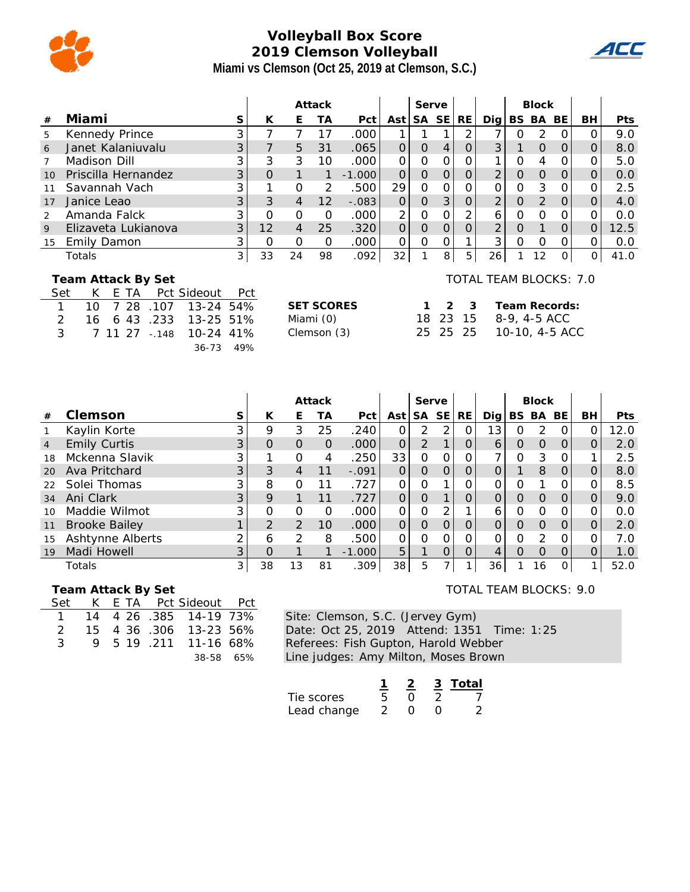

## **Volleyball Box Score 2019 Clemson Volleyball Miami vs Clemson (Oct 25, 2019 at Clemson, S.C.)**



|    |                                              |                |          |                | Attack   |          |                | Serve    |                |           |                |          | <b>Block</b> |          |           |            |
|----|----------------------------------------------|----------------|----------|----------------|----------|----------|----------------|----------|----------------|-----------|----------------|----------|--------------|----------|-----------|------------|
| #  | Miami                                        | S              | К        | E              | TА       | Pct      | Ast l          | SA SE    |                | <b>RE</b> | Dia l          | BS.      | BA           | BE       | <b>BH</b> | <b>Pts</b> |
| 5  | Kennedy Prince                               | ⌒              |          |                | 17       | .000     |                |          |                |           |                |          | 2            |          |           | 9.0        |
| 6  | Janet Kalaniuvalu                            | 3              |          | 5              | 31       | .065     | 0              | $\Omega$ | 4              | $\Omega$  | 3              |          | O            | $\Omega$ |           | 8.0        |
|    | Madison Dill                                 | 3              | 3        | 3              | 10       | .000     | 0              | $\Omega$ | O              | $\Omega$  |                |          | 4            |          |           | 5.0        |
| 10 | Priscilla Hernandez                          | 3              | $\Omega$ |                |          | $-1.000$ | $\overline{O}$ | $\Omega$ | $\overline{O}$ | $\Omega$  | $\overline{2}$ | $\Omega$ | O            | $\Omega$ |           | 0.0        |
|    | Savannah Vach                                | 3              |          | $\Omega$       | 2        | .500     | 29             | $\Omega$ | 0              | 0         |                | O        | 3            |          |           | 2.5        |
| 17 | Janice Leao                                  | 3              | 3        | $\overline{4}$ | 12       | $-.083$  | 0              | $\Omega$ | 3              | $\Omega$  | $\overline{2}$ | O        | 2            | $\Omega$ |           | 4.0        |
|    | Amanda Falck                                 |                | O        | $\Omega$       | $\Omega$ | .000     | 2              | O        | 0              | 2         | 6              | O        | $\Omega$     |          |           | 0.0        |
| 9  | Elizaveta Lukianova                          | 3              | 12       | $\overline{4}$ | 25       | .320     | $\overline{O}$ | $\Omega$ | $\overline{O}$ | $\Omega$  | $\overline{2}$ | O        |              |          |           | 12.5       |
| 15 | Emily Damon                                  | 3              | $\Omega$ | $\Omega$       | $\Omega$ | .000     | 0              | $\Omega$ | 0              |           | 3              | $\Omega$ | O            |          |           | 0.0        |
|    | Totals                                       | 3 <sub>l</sub> | 33       | 24             | 98       | .092     | 32             |          | 8              | 5         | 26             |          | 12           |          | 0         | 41.0       |
|    | TOTAL TEAM BLOCKS: 7.0<br>Team Attack By Set |                |          |                |          |          |                |          |                |           |                |          |              |          |           |            |

|               |  |  | Set K E TA Pct Sideout Pct |  |
|---------------|--|--|----------------------------|--|
|               |  |  |                            |  |
| 2             |  |  | 16 6 43 .233 13-25 51%     |  |
| $\mathcal{R}$ |  |  | 7 11 27 - 148 10-24 41%    |  |
|               |  |  | 36-73 49%                  |  |

| <b>SET SCORES</b> | 1 2 3    |  |
|-------------------|----------|--|
| Miami (0)         | 18 23 15 |  |
| Clemson (3)       | 25 25 25 |  |
|                   |          |  |

|  | TOTAL TEAM BLOCKS: 7.0 |  |
|--|------------------------|--|
|  |                        |  |

| $1 \t2 \t3$ |          | Team Records:  |
|-------------|----------|----------------|
|             | 18 23 15 | 8-9, 4-5 ACC   |
| 25 25 25    |          | 10-10, 4-5 ACC |

|                |                      |    |          |                | Attack   |          |          | Serve     |     |           |      |          | <b>Block</b>  |          |    |            |
|----------------|----------------------|----|----------|----------------|----------|----------|----------|-----------|-----|-----------|------|----------|---------------|----------|----|------------|
| #              | Clemson              | S. | К        | Е              | ТA       | Pct      | Ast l    | <b>SA</b> | SE. | <b>RE</b> | Dial |          | BS BA         | BE.      | BН | <b>Pts</b> |
|                | Kaylin Korte         | 3  | 9        | 3              | 25       | .240     | 0        | 2         | 2   | $\Omega$  | 13   |          | 2             |          |    | 12.0       |
| $\overline{4}$ | <b>Emily Curtis</b>  | 3  | $\Omega$ | $\Omega$       | $\Omega$ | .000     | $\Omega$ | 2         |     | O         | 6    | 0        | $\Omega$      | $\Omega$ |    | 2.0        |
| 18             | Mckenna Slavik       | 3  |          | O              | 4        | .250     | 33       | 0         | Ο   | 0         |      | O        | 3             | Ω        |    | 2.5        |
| 20             | Ava Pritchard        | 3  | 3        | 4              | 11       | $-.091$  | Ο        | 0         | O   | 0         |      |          | 8             | O        |    | 8.0        |
| 22             | Solei Thomas         | 3  | 8        | 0              |          | .727     | Ο        | 0         |     | Ο         |      |          | ◀             |          |    | 8.5        |
| 34             | Ani Clark            | 3  | 9        |                | 11       | .727     | $\Omega$ | 0         |     | $\Omega$  | 0    | $\Omega$ | $\Omega$      | $\Omega$ |    | 9.0        |
| 10             | Maddie Wilmot        | 3  | O        | $\Omega$       | O        | .000     | Ο        | 0         |     |           | 6    | $\Omega$ | $\Omega$      |          |    | 0.0        |
| 11             | <b>Brooke Bailey</b> |    | 2        | $\overline{2}$ | 10       | .000     | O        | O         | Ο   | O         |      | O        | $\Omega$      | $\Omega$ |    | 2.0        |
| 15             | Ashtynne Alberts     | ⌒  | 6        | $\overline{2}$ | 8        | .500     | 0        | 0         | 0   | 0         |      | O        | $\mathcal{D}$ | ∩        |    | 7.0        |
| 19             | Madi Howell          | 3  | $\Omega$ |                |          | $-1.000$ | 5        |           | 0   | O         |      | O        | $\Omega$      | $\Omega$ |    | 1.0        |
|                | Totals               | 3  | 38       | 13             | 81       | .309     | 38       | 5         |     |           | 36   |          | 16            | O        |    | 52.0       |

#### **Team Attack By Set**

| Set |  | K E TA Pct Sideout Pct   |  |
|-----|--|--------------------------|--|
|     |  | 14 4 26 385 14-19 73%    |  |
|     |  | 2 15 4 36 .306 13-23 56% |  |
|     |  | 3 9 5 19 211 11-16 68%   |  |
|     |  | 38-58 65%                |  |

Site: Clemson, S.C. (Jervey Gym) Date: Oct 25, 2019 Attend: 1351 Time: 1:25 Referees: Fish Gupton, Harold Webber Line judges: Amy Milton, Moses Brown

|             |  | 3 Total |
|-------------|--|---------|
| Tie scores  |  |         |
| Lead change |  |         |

### TOTAL TEAM BLOCKS: 9.0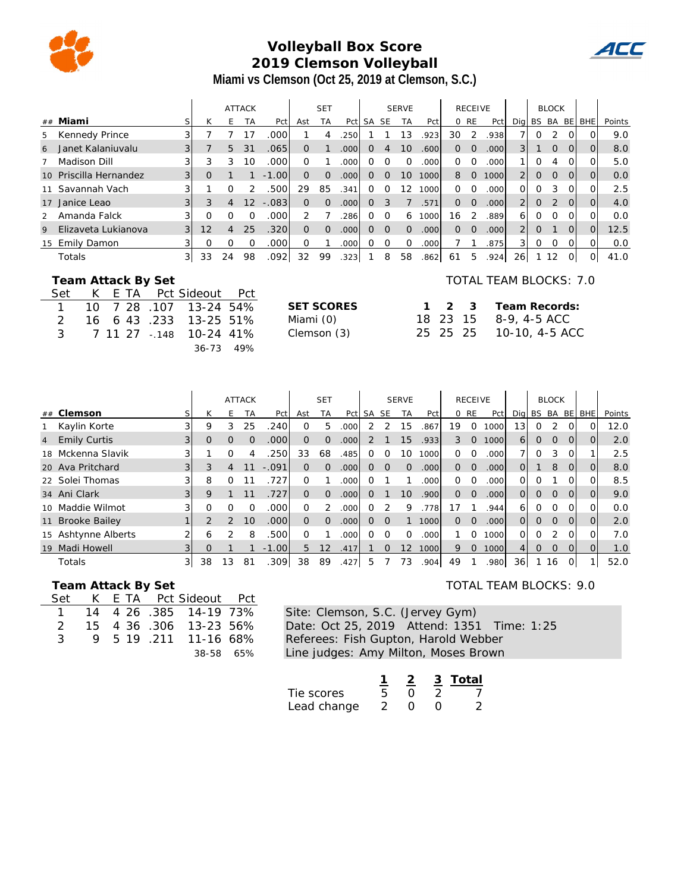

# **Volleyball Box Score 2019 Clemson Volleyball Miami vs Clemson (Oct 25, 2019 at Clemson, S.C.)**

|                |                        |                   |          |                | <b>ATTACK</b> |         |          | <b>SET</b> |                   |           |           | <b>SERVE</b> |                   |          | <b>RECEIVE</b> |      |                |               | <b>BLOCK</b>   |          |                |        |
|----------------|------------------------|-------------------|----------|----------------|---------------|---------|----------|------------|-------------------|-----------|-----------|--------------|-------------------|----------|----------------|------|----------------|---------------|----------------|----------|----------------|--------|
|                | ## Miami               | S.                | К        | F.             | <b>TA</b>     | Pct     | Ast      | <b>TA</b>  | Pct               | <b>SA</b> | <b>SE</b> | <b>TA</b>    | Pct               |          | 0 RE           | Pct  | Dia            | BS.           | BA BE          |          | <b>BHE</b>     | Points |
| 5              | Kennedy Prince         | 3                 |          |                |               | .000    |          | 4          | .250              |           |           | 13           | .923              | 30       | 2              | .938 |                | $\Omega$      | 2              | ΩI       | 0              | 9.0    |
| 6              | Janet Kalanjuvalu      | 31                |          | 5              | 31            | .0651   | $\Omega$ |            | .000 <sub>1</sub> | 0         | 4         | 10           | .600              | $\Omega$ | 0              | .000 | 3 <sup>1</sup> |               | $\overline{0}$ | $\Omega$ | $\overline{O}$ | 8.0    |
|                | Madison Dill           |                   | 3        | 3              | 10            | .000    | $\Omega$ |            | .000              | Ω         | ∩         |              | .000              | 0        | Ω              | .000 |                | 0             | 4              |          | Ωl             | 5.0    |
|                | 10 Priscilla Hernandez | $\lvert 3 \rvert$ | $\Omega$ |                |               | $-1.00$ | $\Omega$ | $\Omega$   | .000 <sub>1</sub> | 0         | $\Omega$  | 10           | 1000              | 8        | $\overline{O}$ | 1000 | $\overline{2}$ | $\mathcal{O}$ | $\overline{0}$ | $\Omega$ | $\overline{O}$ | 0.0    |
| 11             | Savannah Vach          |                   |          | Ω              |               | .500    | 29       | 85         | .341              | Ω         | Ω         | 12           | 1000              | $\Omega$ | Ω              | .000 | Ω              | 0             | 3              | ΩI       | Ω              | 2.5    |
| 17             | Janice Leao            | $\overline{3}$    | 3        | 4              | 12            | $-.083$ | $\Omega$ | $\Omega$   | .000              | 0         | 3         |              | .571              | $\Omega$ | $\Omega$       | .000 | $\overline{2}$ | $\Omega$      | 2              | $\Omega$ | $\Omega$       | 4.0    |
| $\overline{2}$ | Amanda Falck           |                   | Ω        | O              |               | .000    |          |            | 286               | Ω         | $\Omega$  | 6            | 1000              | 16       |                | .889 | 6              | $\Omega$      | $\Omega$       | $\Omega$ | 0              | 0.0    |
| 9              | Elizaveta Lukianova    | 3                 | 12       | $\overline{4}$ | 25            | .320    | $\Omega$ | $\Omega$   | .000              | 0         | $\Omega$  | $\Omega$     | .000 <sub>l</sub> | $\Omega$ | $\Omega$       | .000 | $\overline{2}$ | $\mathbf{0}$  |                | $\Omega$ | $\Omega$       | 12.5   |
|                | 15 Emily Damon         |                   | Ω        | O              |               | .000    | $\Omega$ |            | .000              | Ω         | $\Omega$  | $\Omega$     | .000              |          |                | .875 | 31             | 0             | $\Omega$       | ΟI       | റി             | 0.0    |
|                | Totals                 | $\frac{3}{2}$     | 33       | 24             | 98            | .0921   | 32       | 99         | .323              |           | 8         | 58           | .862              | 61       | 5              | .924 | 26             |               | 12             | ΩI       | Οl             | 41.0   |

#### **Team Attack By Set**

|               |  |  | Set K E TA Pct Sideout Pct |  |
|---------------|--|--|----------------------------|--|
|               |  |  | 1 10 7 28 107 13-24 54%    |  |
| $\mathcal{P}$ |  |  | 16 6 43 .233 13-25 51%     |  |
| 3             |  |  | 7 11 27 - 148 10-24 41%    |  |
|               |  |  | 36-73 49%                  |  |

| SET SCORES  |  |
|-------------|--|
| Miami (0)   |  |
| Clemson (3) |  |
|             |  |

#### TOTAL TEAM BLOCKS: 7.0

 $\bm{u}$ 

| SET SCORES  |  | 1 2 3 Team Records:     |
|-------------|--|-------------------------|
| Miami (0)   |  | 18 23 15 8-9, 4-5 ACC   |
| Clemson (3) |  | 25 25 25 10-10, 4-5 ACC |

|                                       |                |          |               | <b>ATTACK</b> |         | <b>SET</b>     |          |                   |          |          | <b>SERVE</b>    |                   |          | <b>RECEIVE</b> |       |                 |                | <b>BLOCK</b>   |              |                |        |
|---------------------------------------|----------------|----------|---------------|---------------|---------|----------------|----------|-------------------|----------|----------|-----------------|-------------------|----------|----------------|-------|-----------------|----------------|----------------|--------------|----------------|--------|
| Clemson<br>##                         | S <sub>1</sub> | К        | F.            | ТA            | Pct     | Ast            | TA       | Pct               | SA       | SE       | <b>TA</b>       | Pct               |          | 0 RE           | Pct   | Dig             | BS BA BE       |                |              | <b>BHE</b>     | Points |
| Kaylin Korte                          | 3              | 9        | 3             | 25            | .240l   | $\Omega$       | 5        | .000              |          |          | 15              | .867              | 19       | $\Omega$       | 1000  | 13 <sub>1</sub> | 0              | 2              | 0            | $\Omega$       | 12.0   |
| <b>Emily Curtis</b><br>$\overline{4}$ | 3 <sup>1</sup> | $\Omega$ | $\Omega$      | $\Omega$      | .0001   | $\Omega$       | $\Omega$ | .000              | 2        |          | 15              | .933              | 3        | $\Omega$       | 1000  | 6 <sup>1</sup>  | $\overline{O}$ | $\overline{O}$ | $\Omega$     | $\Omega$       | 2.0    |
| 18 Mckenna Slavik                     |                |          | Ω             |               | .250l   | 33             | 68       | .485              | O        | O        | 10              | 1000              | $\Omega$ | $\circ$        | .000  |                 | Ω              | 3              | Ω            |                | 2.5    |
| 20 Ava Pritchard                      |                | 3        | 4             |               | $-.091$ | $\Omega$       | $\Omega$ | .000 <sub>l</sub> | $\Omega$ | $\Omega$ | $\Omega$        | .000 <sub>l</sub> | $\Omega$ | $\overline{O}$ | .000  | $\Omega$        |                | 8              | $\Omega$     | $\overline{O}$ | 8.0    |
| 22 Solei Thomas                       | $\overline{3}$ | 8        | $\Omega$      |               | .727    | $\Omega$       |          | .000              | 0        |          |                 | .000              | $\Omega$ | $\Omega$       | .000  | 0               | 0              |                | 0            | $\Omega$       | 8.5    |
| 34 Ani Clark                          | $\overline{3}$ | 9        |               |               | .727    | $\Omega$       | $\Omega$ | .000 <sub>l</sub> | 0        |          | 10 <sup>1</sup> | .9001             | $\Omega$ | $\Omega$       | .0001 | $\Omega$        | $\Omega$       | $\Omega$       | $\Omega$     | $\Omega$       | 9.0    |
| 10 Maddie Wilmot                      | 3              |          | Ω             |               | .000l   | 0              | 2        | 000               | O        |          | 9               | .778              | 17       |                | .944  | 6               | 0              | O              | ΩI           | $\Omega$       | 0.0    |
| 11 Brooke Bailey                      |                | 2        | $\mathcal{P}$ | 10            | .000    | $\overline{O}$ | $\Omega$ | .000 <sub>l</sub> | 0        | $\Omega$ |                 | 1000              | $\Omega$ | $\Omega$       | .000  | $\Omega$        | $\Omega$       | $\Omega$       | $\Omega$     | $\Omega$       | 2.0    |
| 15 Ashtynne Alberts                   | 2              | 6        | $\mathcal{P}$ | 8             | .500l   | $\Omega$       |          | .000              | O.       | $\Omega$ | 0               | .000              |          | $\Omega$       | 1000  | 0               | 0              | 2              | $\Omega$     | $\Omega$       | 7.0    |
| Madi Howell<br>19                     |                | O        |               |               | $-1.00$ | 5              | 12       | .417              |          | 0        | 12              | 1000              | 9        | $\Omega$       | 1000  | 41              | $\Omega$       | $\Omega$       | $\Omega$     |                | 1.0    |
| Totals                                | 31             | 38       | 13            | 81            | .309    | 38             | 89       | .427              | 5        |          | 73              | .904              | 49       |                | .980  | 36              |                | 16             | <sup>O</sup> |                | 52.0   |

#### **Team Attack By Set**

| Set |  | K E TA Pct Sideout Pct  |  |
|-----|--|-------------------------|--|
|     |  | 14 4 26 .385 14-19 73%  |  |
|     |  | 2 15 4 36 306 13-23 56% |  |
| 3   |  | 9 5 19 211 11-16 68%    |  |
|     |  | 38-58 65%               |  |

Site: Clemson, S.C. (Jervey Gym) Date: Oct 25, 2019 Attend: 1351 Time: 1:25 Referees: Fish Gupton, Harold Webber Line judges: Amy Milton, Moses Brown

|             |               |  | 3 Total |
|-------------|---------------|--|---------|
| Tie scores  |               |  |         |
| Lead change | $\mathcal{L}$ |  |         |

#### TOTAL TEAM BLOCKS: 9.0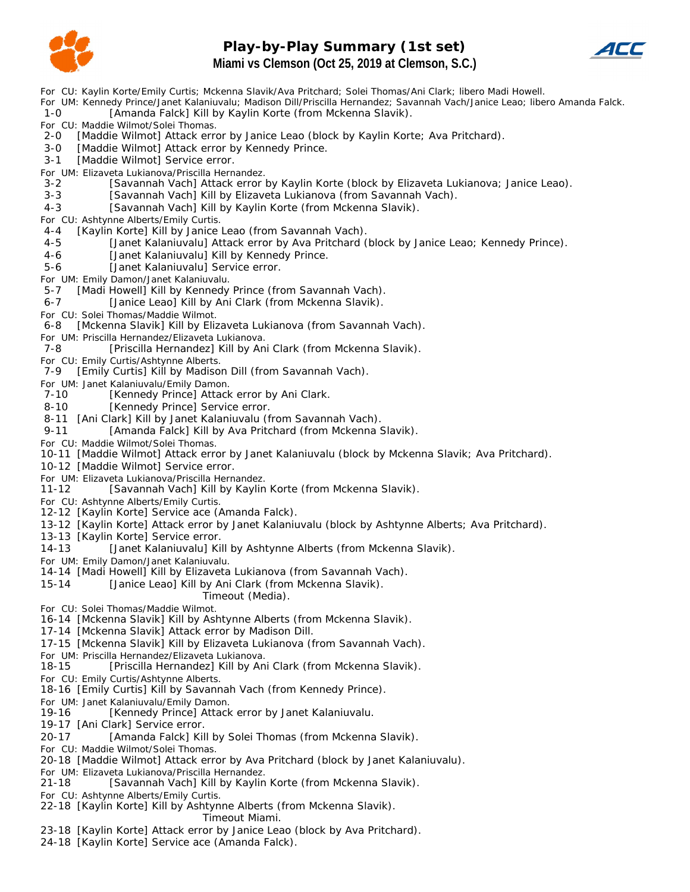

### **Play-by-Play Summary (1st set) Miami vs Clemson (Oct 25, 2019 at Clemson, S.C.)**



*For CU: Kaylin Korte/Emily Curtis; Mckenna Slavik/Ava Pritchard; Solei Thomas/Ani Clark; libero Madi Howell.*

*For UM: Kennedy Prince/Janet Kalaniuvalu; Madison Dill/Priscilla Hernandez; Savannah Vach/Janice Leao; libero Amanda Falck.*

1-0 [Amanda Falck] Kill by Kaylin Korte (from Mckenna Slavik).

*For CU: Maddie Wilmot/Solei Thomas.*

- 2-0 [Maddie Wilmot] Attack error by Janice Leao (block by Kaylin Korte; Ava Pritchard).
- 3-0 [Maddie Wilmot] Attack error by Kennedy Prince.
- 3-1 [Maddie Wilmot] Service error.
- *For UM: Elizaveta Lukianova/Priscilla Hernandez.*
- 3-2 [Savannah Vach] Attack error by Kaylin Korte (block by Elizaveta Lukianova; Janice Leao).
- 3-3 [Savannah Vach] Kill by Elizaveta Lukianova (from Savannah Vach).
- 4-3 [Savannah Vach] Kill by Kaylin Korte (from Mckenna Slavik).

*For CU: Ashtynne Alberts/Emily Curtis.*

4-4 [Kaylin Korte] Kill by Janice Leao (from Savannah Vach).

- 4-5 [Janet Kalaniuvalu] Attack error by Ava Pritchard (block by Janice Leao; Kennedy Prince).
- 4-6 [Janet Kalaniuvalu] Kill by Kennedy Prince.

5-6 [Janet Kalaniuvalu] Service error.

*For UM: Emily Damon/Janet Kalaniuvalu.*

5-7 [Madi Howell] Kill by Kennedy Prince (from Savannah Vach).

- 6-7 [Janice Leao] Kill by Ani Clark (from Mckenna Slavik).
- *For CU: Solei Thomas/Maddie Wilmot.*

6 - 8 [Mckenna Slavik] Kill by Elizaveta Lukianova (from Savannah Vach).

*For UM: Priscilla Hernandez/Elizaveta Lukianova.*

7-8 [Priscilla Hernandez] Kill by Ani Clark (from Mckenna Slavik).

*For CU: Emily Curtis/Ashtynne Alberts.*

7-9 [Emily Curtis] Kill by Madison Dill (from Savannah Vach).

*For UM: Janet Kalaniuvalu/Emily Damon.*

7-10 [Kennedy Prince] Attack error by Ani Clark.

- 8-10 [Kennedy Prince] Service error.
- 8-11 [Ani Clark] Kill by Janet Kalaniuvalu (from Savannah Vach).
- 9-11 [Amanda Falck] Kill by Ava Pritchard (from Mckenna Slavik).
- *For CU: Maddie Wilmot/Solei Thomas.*
- 10-11 [Maddie Wilmot] Attack error by Janet Kalaniuvalu (block by Mckenna Slavik; Ava Pritchard).
- 10-12 [Maddie Wilmot] Service error.
- *For UM: Elizaveta Lukianova/Priscilla Hernandez.*
- 11-12 [Savannah Vach] Kill by Kaylin Korte (from Mckenna Slavik).
- *For CU: Ashtynne Alberts/Emily Curtis.*
- 12-12 [Kaylin Korte] Service ace (Amanda Falck).
- 13-12 [Kaylin Korte] Attack error by Janet Kalaniuvalu (block by Ashtynne Alberts; Ava Pritchard).

13-13 [Kaylin Korte] Service error.

14-13 [Janet Kalaniuvalu] Kill by Ashtynne Alberts (from Mckenna Slavik).

*For UM: Emily Damon/Janet Kalaniuvalu.*

14-14 [Madi Howell] Kill by Elizaveta Lukianova (from Savannah Vach).

15-14 [Janice Leao] Kill by Ani Clark (from Mckenna Slavik).

*Timeout (Media).*

*For CU: Solei Thomas/Maddie Wilmot.*

16-14 [Mckenna Slavik] Kill by Ashtynne Alberts (from Mckenna Slavik).

17-14 [Mckenna Slavik] Attack error by Madison Dill.

17-15 [Mckenna Slavik] Kill by Elizaveta Lukianova (from Savannah Vach).

*For UM: Priscilla Hernandez/Elizaveta Lukianova.*

18-15 [Priscilla Hernandez] Kill by Ani Clark (from Mckenna Slavik).

*For CU: Emily Curtis/Ashtynne Alberts.*

18-16 [Emily Curtis] Kill by Savannah Vach (from Kennedy Prince).

*For UM: Janet Kalaniuvalu/Emily Damon.*

19-16 [Kennedy Prince] Attack error by Janet Kalaniuvalu.

19-17 [Ani Clark] Service error.

- 20-17 [Amanda Falck] Kill by Solei Thomas (from Mckenna Slavik).
- *For CU: Maddie Wilmot/Solei Thomas.*

20-18 [Maddie Wilmot] Attack error by Ava Pritchard (block by Janet Kalaniuvalu).

*For UM: Elizaveta Lukianova/Priscilla Hernandez.*

[Savannah Vach] Kill by Kaylin Korte (from Mckenna Slavik).

*For CU: Ashtynne Alberts/Emily Curtis.*

22-18 [Kaylin Korte] Kill by Ashtynne Alberts (from Mckenna Slavik).

#### *Timeout Miami.*

- 23-18 [Kaylin Korte] Attack error by Janice Leao (block by Ava Pritchard).
- 24-18 [Kaylin Korte] Service ace (Amanda Falck).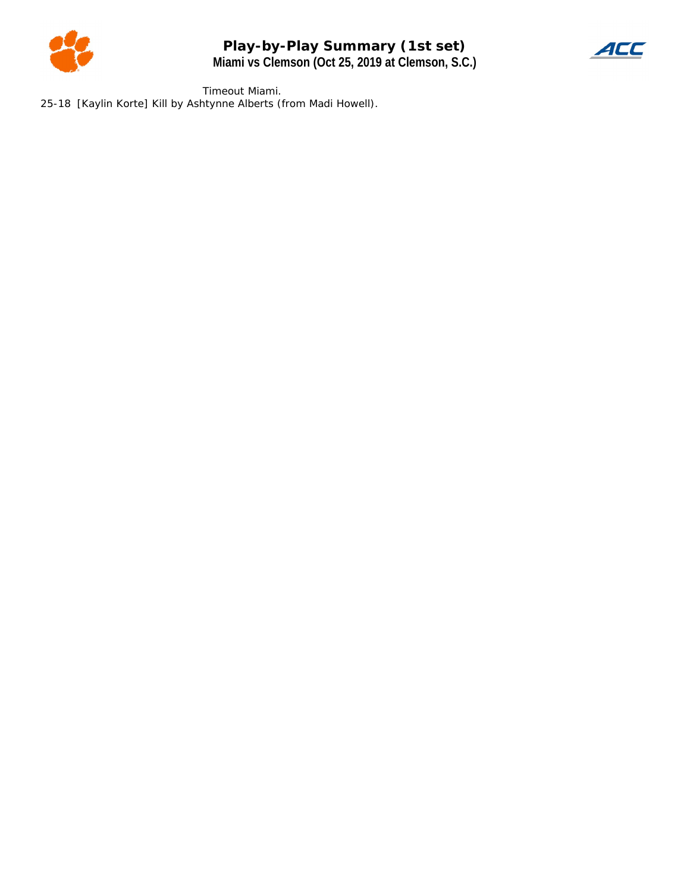

**Play-by-Play Summary (1st set) Miami vs Clemson (Oct 25, 2019 at Clemson, S.C.)**



*Timeout Miami.* 25-18 [Kaylin Korte] Kill by Ashtynne Alberts (from Madi Howell).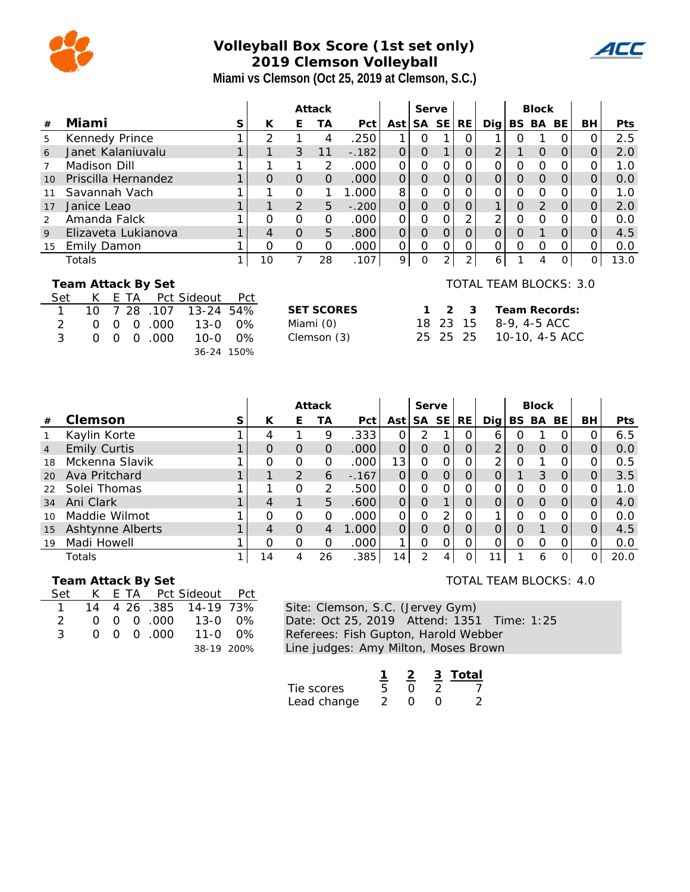

# **Volleyball Box Score (1st set only) 2019 Clemson Volleyball Miami vs Clemson (Oct 25, 2019 at Clemson, S.C.)**

|     |                          |          |    |      |                        |              | Attack         |                |                   |                   |                |          | Serve          |                |                        |          | <b>Block</b>  |                |          |            |
|-----|--------------------------|----------|----|------|------------------------|--------------|----------------|----------------|-------------------|-------------------|----------------|----------|----------------|----------------|------------------------|----------|---------------|----------------|----------|------------|
| #   | Miami                    |          |    |      |                        | S            | K              | E              | ТA                | Pct I             | Ast            |          | SA SE          | RE             | Dig                    |          | BS BA         | BE             | BH       | <b>Pts</b> |
| 5   | Kennedy Prince           |          |    |      |                        |              | 2              |                | 4                 | .250              |                | Ω        |                | Ο              |                        | Ω        |               | Ο              | O        | 2.5        |
| 6   | Janet Kalaniuvalu        |          |    |      |                        |              |                | 3              | 11                | $-.182$           | $\Omega$       | $\Omega$ |                | $\mathsf O$    | 2                      |          | $\Omega$      | $\Omega$       |          | 2.0        |
|     | Madison Dill             |          |    |      |                        |              |                |                | 2                 | .000              | $\Omega$       | Ω        | ∩              | 0              | $\Omega$               | Ω        | 0             | Ο              |          | 1.0        |
| 10  | Priscilla Hernandez      |          |    |      |                        |              | $\Omega$       | $\Omega$       | $\Omega$          | .000 <sub>1</sub> | $\overline{O}$ | 0        | $\Omega$       | 0              | $\Omega$               | 0        | $\Omega$      | $\mathcal{O}$  | O        | 0.0        |
| 11  | Savannah Vach            |          |    |      |                        |              |                | $\Omega$       | 1                 | 1.000             | 8              | O        | Ω              | 0              | O                      | Ο        | 0             | $\Omega$       | Ω        | 1.0        |
| 17  | Janice Leao              |          |    |      |                        |              |                | 2              | 5                 | $\overline{O}$    | $\overline{0}$ | $\Omega$ | $\overline{O}$ | 1              | 0                      | 2        | $\mathcal{O}$ | $\overline{O}$ | 2.0      |            |
| 2   | Amanda Falck             |          |    |      |                        |              | $\Omega$       | $\Omega$       | $\Omega$          | .000              | $\Omega$       | $\Omega$ |                | 2              | 2                      | $\Omega$ | 0             | 0              |          | 0.0        |
| 9   | Elizaveta Lukianova      |          |    |      |                        |              | $\overline{4}$ | $\Omega$       | 5                 | .800              | $\overline{O}$ | $\Omega$ | $\Omega$       | $\overline{O}$ | $\overline{O}$         | $\Omega$ |               | $\Omega$       | O        | 4.5        |
| 15  | Emily Damon              |          |    |      |                        |              | $\Omega$       | 0              | 0                 | .000              | $\Omega$       | $\Omega$ | $\Omega$       | 0              | $\Omega$               | 0        | $\Omega$      | 0              | O        | 0.0        |
|     | Totals                   |          |    |      |                        | $\mathbf{1}$ | 10             | $\overline{7}$ | 28                | .107              | $\overline{9}$ | $\Omega$ | 2              | $\overline{2}$ | 6                      |          | 4             | $\overline{O}$ | $\Omega$ | 13.0       |
| Set | Team Attack By Set<br>K. | F.       | ТA |      | Pct Sideout            | Pct          |                |                |                   |                   |                |          |                |                | TOTAL TEAM BLOCKS: 3.0 |          |               |                |          |            |
| 1   | 10                       | 7        | 28 | .107 | $13 - 24$              | 54%          |                |                | <b>SET SCORES</b> |                   |                |          | $\mathcal{P}$  | $\mathcal{B}$  |                        |          |               | Team Records:  |          |            |
| 2   | 0                        | $\Omega$ | 0  | .000 | $13 - 0$               | $0\%$        |                |                | Miami (0)         |                   |                | 18       | 23             | -15            |                        |          | 8-9, 4-5 ACC  |                |          |            |
| 3   | $\Omega$                 | 0        | 0  | .000 | $10 - 0$<br>36-24 150% | $0\%$        |                |                | Clemson (3)       |                   |                | 25       |                | 25 25          |                        |          |               | 10-10, 4-5 ACC |          |            |

|                |                     | Attack |          |                | Serve    |         |                 |          |           | <b>Block</b> |                |       |               |                |                |            |
|----------------|---------------------|--------|----------|----------------|----------|---------|-----------------|----------|-----------|--------------|----------------|-------|---------------|----------------|----------------|------------|
| #              | Clemson             | S      | К        | Е              | ТA       | Pct     | Ast l           | SA       | <b>SE</b> | <b>RE</b>    | Dig            | BS BA |               | <b>BE</b>      | BH.            | <b>Pts</b> |
|                | Kaylin Korte        |        | 4        |                | 9        | .333    | Ο               | 2        |           | O            | 6              | ი     |               | O              | 0              | 6.5        |
| $\overline{4}$ | <b>Emily Curtis</b> |        | $\Omega$ | $\Omega$       | $\Omega$ | .000    | $\Omega$        | O        | $\Omega$  | 0            | $\overline{2}$ | 0     | $\Omega$      | $\Omega$       | 0              | 0.0        |
| 18             | Mckenna Slavik      |        | O        | O              | $\Omega$ | .000    | 13              | Ο        | O         | 0            | ↷              | Ο     |               |                | 0              | 0.5        |
| 20             | Ava Pritchard       |        |          | $\overline{2}$ | 6        | $-.167$ | 0               | 0        | 0         | 0            |                |       | 3             | O              | $\overline{O}$ | 3.5        |
| 22             | Solei Thomas        |        |          | 0              | 2        | .500    | Ο               | $\Omega$ | 0         | 0            | Ο              | 0     | $\mathcal{O}$ | O              | 0              | 1.0        |
| 34             | Ani Clark           |        | 4        | 1              | 5        | .600    | $\Omega$        | 0        |           | 0            | $\overline{O}$ | O     | $\Omega$      | $\Omega$       | $\overline{O}$ | 4.0        |
| 10             | Maddie Wilmot       |        | O        | O              | Ο        | .000    | 0               | O        | 2         | Ο            |                | Ο     | $\Omega$      | O              | 0              | 0.0        |
| 15             | Ashtynne Alberts    |        | 4        | $\Omega$       | 4        | 1.000   | $\Omega$        | O        | O         | O            | $\Omega$       | O     |               | $\Omega$       | $\overline{O}$ | 4.5        |
| 19             | Madi Howell         |        | O        | $\Omega$       | $\Omega$ | .000    |                 | Ω        | O         | Ω            | 0              | 0     | $\Omega$      | Ω              | 0              | 0.0        |
|                | Totals              |        | 14       | 4              | 26       | .385    | 14 <sub>1</sub> | っ        | 4         | O            | 1              |       | 6             | $\overline{O}$ | 0              | 20.0       |

 **Team Attack By Set**

| Set           |  |                                               | K E TA Pct Sideout Pct           |  |
|---------------|--|-----------------------------------------------|----------------------------------|--|
|               |  |                                               | 14 4 26 .385 14-19 73%           |  |
| $\mathcal{D}$ |  |                                               | $0 \t0 \t0 \t0.000 \t13-0 \t0\%$ |  |
| २             |  | $\begin{matrix} 0 & 0 & 0 & 000 \end{matrix}$ | 11-0 0%                          |  |
|               |  |                                               | 38-19 200%                       |  |

Site: Clemson, S.C. (Jervey Gym) Date: Oct 25, 2019 Attend: 1351 Time: 1:25 Referees: Fish Gupton, Harold Webber Line judges: Amy Milton, Moses Brown

|             |                  | 3 Total |
|-------------|------------------|---------|
| Tie scores  | $\left( \right)$ |         |
| Lead change |                  | ')      |

TOTAL TEAM BLOCKS: 4.0

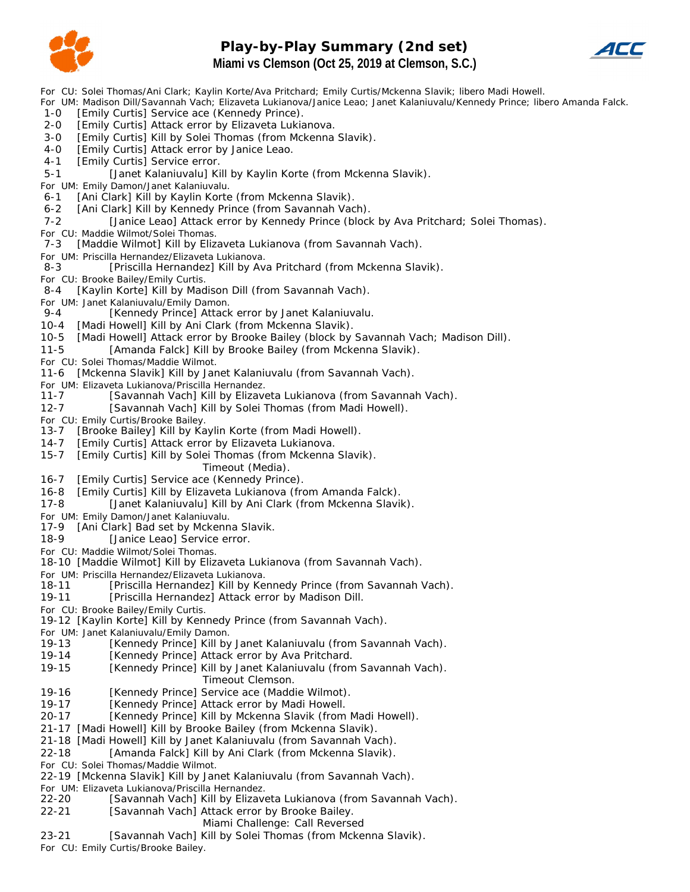

## **Play-by-Play Summary (2nd set) Miami vs Clemson (Oct 25, 2019 at Clemson, S.C.)**



*For CU: Solei Thomas/Ani Clark; Kaylin Korte/Ava Pritchard; Emily Curtis/Mckenna Slavik; libero Madi Howell.*

*For UM: Madison Dill/Savannah Vach; Elizaveta Lukianova/Janice Leao; Janet Kalaniuvalu/Kennedy Prince; libero Amanda Falck.*

- 1-0 [Emily Curtis] Service ace (Kennedy Prince).
- 2-0 [Emily Curtis] Attack error by Elizaveta Lukianova.
- 3-0 [Emily Curtis] Kill by Solei Thomas (from Mckenna Slavik).
- 4-0 [Emily Curtis] Attack error by Janice Leao.
- 4-1 [Emily Curtis] Service error.
- 5-1 [Janet Kalaniuvalu] Kill by Kaylin Korte (from Mckenna Slavik).

*For UM: Emily Damon/Janet Kalaniuvalu.*

6-1 [Ani Clark] Kill by Kaylin Korte (from Mckenna Slavik).

- 6-2 [Ani Clark] Kill by Kennedy Prince (from Savannah Vach).
- 7-2 [Janice Leao] Attack error by Kennedy Prince (block by Ava Pritchard; Solei Thomas).

*For CU: Maddie Wilmot/Solei Thomas.*

7-3 [Maddie Wilmot] Kill by Elizaveta Lukianova (from Savannah Vach).

*For UM: Priscilla Hernandez/Elizaveta Lukianova.*

- 8-3 [Priscilla Hernandez] Kill by Ava Pritchard (from Mckenna Slavik).
- *For CU: Brooke Bailey/Emily Curtis.*
- 8-4 [Kaylin Korte] Kill by Madison Dill (from Savannah Vach).
- *For UM: Janet Kalaniuvalu/Emily Damon.*
- 9-4 [Kennedy Prince] Attack error by Janet Kalaniuvalu.
- 10-4 [Madi Howell] Kill by Ani Clark (from Mckenna Slavik).
- 10-5 [Madi Howell] Attack error by Brooke Bailey (block by Savannah Vach; Madison Dill).
- 11-5 [Amanda Falck] Kill by Brooke Bailey (from Mckenna Slavik).
- *For CU: Solei Thomas/Maddie Wilmot.*
- 11-6 [Mckenna Slavik] Kill by Janet Kalaniuvalu (from Savannah Vach).
- *For UM: Elizaveta Lukianova/Priscilla Hernandez.*
- 11-7 [Savannah Vach] Kill by Elizaveta Lukianova (from Savannah Vach).
- 12-7 [Savannah Vach] Kill by Solei Thomas (from Madi Howell).
- *For CU: Emily Curtis/Brooke Bailey.*
- 13-7 [Brooke Bailey] Kill by Kaylin Korte (from Madi Howell).
- 14-7 [Emily Curtis] Attack error by Elizaveta Lukianova.
- 15-7 [Emily Curtis] Kill by Solei Thomas (from Mckenna Slavik).
	- *Timeout (Media).*
- 16-7 [Emily Curtis] Service ace (Kennedy Prince).
- 16-8 [Emily Curtis] Kill by Elizaveta Lukianova (from Amanda Falck).
- 17-8 [Janet Kalaniuvalu] Kill by Ani Clark (from Mckenna Slavik).
- *For UM: Emily Damon/Janet Kalaniuvalu.*
- 17-9 [Ani Clark] Bad set by Mckenna Slavik.
- 18-9 [Janice Leao] Service error.
- *For CU: Maddie Wilmot/Solei Thomas.*
- 18-10 [Maddie Wilmot] Kill by Elizaveta Lukianova (from Savannah Vach).
- *For UM: Priscilla Hernandez/Elizaveta Lukianova.*
- 18-11 [Priscilla Hernandez] Kill by Kennedy Prince (from Savannah Vach).
- 19-11 [Priscilla Hernandez] Attack error by Madison Dill.
- *For CU: Brooke Bailey/Emily Curtis.*
- 19-12 [Kaylin Korte] Kill by Kennedy Prince (from Savannah Vach).
- 
- *For UM: Janet Kalaniuvalu/Emily Damon.* [Kennedy Prince] Kill by Janet Kalaniuvalu (from Savannah Vach).
- 19-14 [Kennedy Prince] Attack error by Ava Pritchard.
- 19-15 [Kennedy Prince] Kill by Janet Kalaniuvalu (from Savannah Vach). *Timeout Clemson.*
- 19-16 [Kennedy Prince] Service ace (Maddie Wilmot).
- 19-17 [Kennedy Prince] Attack error by Madi Howell.
- 20-17 [Kennedy Prince] Kill by Mckenna Slavik (from Madi Howell).
- 21-17 [Madi Howell] Kill by Brooke Bailey (from Mckenna Slavik).
- 21-18 [Madi Howell] Kill by Janet Kalaniuvalu (from Savannah Vach).
- 22-18 [Amanda Falck] Kill by Ani Clark (from Mckenna Slavik).
- *For CU: Solei Thomas/Maddie Wilmot.*
- 22-19 [Mckenna Slavik] Kill by Janet Kalaniuvalu (from Savannah Vach).
- *For UM: Elizaveta Lukianova/Priscilla Hernandez.*
- 22-20 [Savannah Vach] Kill by Elizaveta Lukianova (from Savannah Vach).
- 22-21 [Savannah Vach] Attack error by Brooke Bailey.
	- *Miami Challenge: Call Reversed*
- 23-21 [Savannah Vach] Kill by Solei Thomas (from Mckenna Slavik).

*For CU: Emily Curtis/Brooke Bailey.*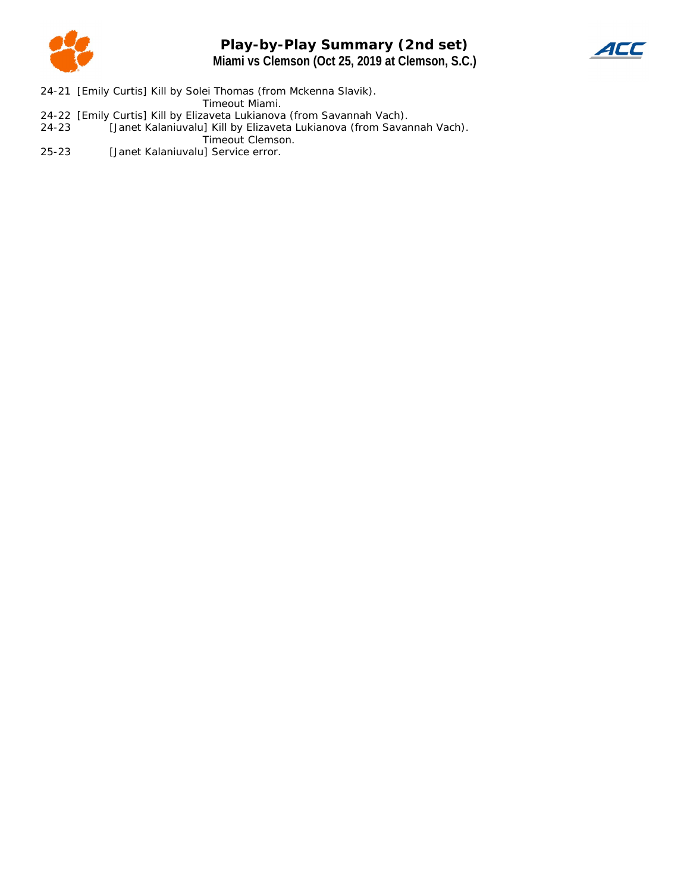

# **Play-by-Play Summary (2nd set) Miami vs Clemson (Oct 25, 2019 at Clemson, S.C.)**



24-21 [Emily Curtis] Kill by Solei Thomas (from Mckenna Slavik).

*Timeout Miami.*

- 24-22 [Emily Curtis] Kill by Elizaveta Lukianova (from Savannah Vach).
- 24-23 [Janet Kalaniuvalu] Kill by Elizaveta Lukianova (from Savannah Vach). *Timeout Clemson.*
- 25-23 [Janet Kalaniuvalu] Service error.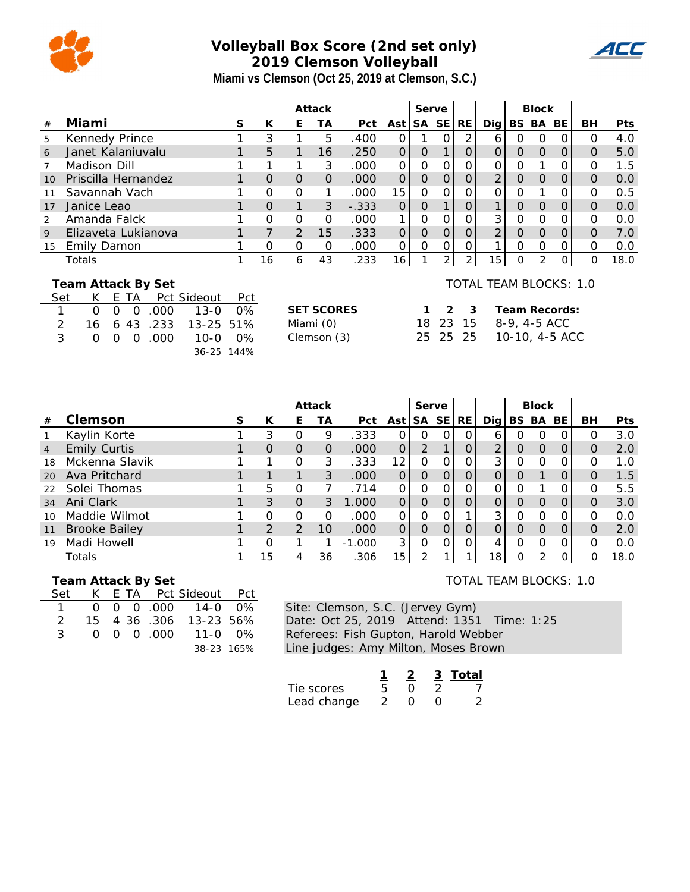

# **Volleyball Box Score (2nd set only) 2019 Clemson Volleyball Miami vs Clemson (Oct 25, 2019 at Clemson, S.C.)**

|     |                          |          |          |      |             | Attack |          |               |                   |         |                | Serve          |                |                |                        |                | <b>Block</b>   |                |          |            |
|-----|--------------------------|----------|----------|------|-------------|--------|----------|---------------|-------------------|---------|----------------|----------------|----------------|----------------|------------------------|----------------|----------------|----------------|----------|------------|
| #   | Miami                    |          |          |      |             | S      | К        | Е             | ТA                | Pct     | Ast            |                | SA SE          | RE             | Dig                    |                | BS BA          | BE             | BH.      | <b>Pts</b> |
| 5   | Kennedy Prince           |          |          |      |             |        | 3        |               | 5                 | .400    | $\Omega$       |                | $\Omega$       | 2              | 6                      | 0              | $\Omega$       | 0              | 0        | 4.0        |
| 6   | Janet Kalanjuvalu        |          |          |      |             |        | 5        | 1             | 16                | .250    | $\overline{O}$ | $\overline{O}$ |                | $\overline{O}$ | 0                      | $\Omega$       | $\Omega$       | 0              | O        | 5.0        |
|     | Madison Dill             |          |          |      |             |        |          |               | 3                 | .000    | O              | 0              | $\Omega$       | Ο              | $\Omega$               | 0              |                | $\Omega$       | Ο        | 1.5        |
| 10  | Priscilla Hernandez      |          |          |      |             |        | $\Omega$ | $\mathcal{O}$ | $\Omega$          | .000    | $\overline{O}$ | $\overline{0}$ | $\Omega$       | 0              | $\overline{2}$         | 0              | $\Omega$       | $\Omega$       | 0        | 0.0        |
| 11  | Savannah Vach            |          |          |      |             |        | $\Omega$ | $\Omega$      | 1                 | .000    | 15             | $\Omega$       | Ω              | Ω              | $\Omega$               | 0              |                | Ο              | Ο        | 0.5        |
| 17  | Janice Leao              |          |          |      |             |        | $\Omega$ | $\mathbf{1}$  | 3                 | $-.333$ | $\Omega$       | $\overline{O}$ |                | 0              | $\mathbf{1}$           | $\Omega$       | $\Omega$       | $\Omega$       | O        | 0.0        |
| 2   | Amanda Falck             |          |          |      |             |        | $\Omega$ | $\mathbf 0$   | $\Omega$          | .000    | 1              | 0              | O              | 0              | 3                      | $\Omega$       | $\Omega$       | $\Omega$       | Ο        | 0.0        |
| 9   | Elizaveta Lukianova      |          |          |      |             |        | 7        | $\mathcal{P}$ | 15                | .333    | $\overline{O}$ | $\overline{O}$ | $\overline{O}$ | $\overline{O}$ | $\overline{2}$         | $\overline{O}$ | $\Omega$       | 0              | 0        | 7.0        |
| 15  | Emily Damon              |          |          |      |             |        | $\Omega$ | 0             | 0                 | .000    | $\Omega$       | $\Omega$       | $\Omega$       | $\Omega$       | 1                      | $\Omega$       | $\Omega$       | 0              | $\Omega$ | 0.0        |
|     | Totals                   |          |          |      |             | 1      | 16       | 6             | 43                | .233    | 16             | 1              | $\overline{2}$ | $\overline{2}$ | 15                     | O              | $\overline{2}$ | $\overline{O}$ | $\Omega$ | 18.0       |
| Set | Team Attack By Set<br>K. |          | E TA     |      | Pct Sideout | Pct    |          |               |                   |         |                |                |                |                | TOTAL TEAM BLOCKS: 1.0 |                |                |                |          |            |
|     | $\Omega$                 | $\Omega$ | $\Omega$ | .000 | $13 - 0$    | $0\%$  |          |               | <b>SET SCORES</b> |         |                |                | 2              | - 3            |                        |                |                | Team Records:  |          |            |
| 2   | 16                       |          | 6 43     | .233 | $13 - 25$   | 51%    |          |               | Miami (0)         |         |                | 18             | 23             | 15             |                        |                |                | 8-9, 4-5 ACC   |          |            |
| 3   | 0                        | $\Omega$ | $\Omega$ | .000 | $10 - 0$    | $0\%$  |          |               | Clemson (3)       |         |                | 25             | 25             | -25            |                        |                |                | 10-10, 4-5 ACC |          |            |
|     |                          |          |          |      |             |        |          |               |                   |         |                |                |                |                |                        |                |                |                |          |            |
|     | 36-25 144%               |          |          |      |             |        |          |               |                   |         |                |                |                |                |                        |                |                |                |          |            |

|                |                      |   |               |                | Attack   |          |                 | Serve          |                |          |          |          | <b>Block</b> |           |    |      |
|----------------|----------------------|---|---------------|----------------|----------|----------|-----------------|----------------|----------------|----------|----------|----------|--------------|-----------|----|------|
| #              | Clemson              | S | К             | E.             | ТA       | Pct      | Ast l           | <b>SA</b>      | <b>SE</b>      | RE       | Dia l    | BS .     | BA           | <b>BE</b> | BH | Pts  |
|                | Kaylin Korte         |   | 3             | 0              | 9        | .333     | O               | O              | 0              | 0        | 6        | Ο        | O            | 0         |    | 3.0  |
| $\overline{4}$ | <b>Emily Curtis</b>  |   | 0             | O              | $\Omega$ | .000     | 0               | 2              |                | $\Omega$ | 2        | 0        | $\Omega$     | $\Omega$  |    | 2.0  |
| 18             | Mckenna Slavik       |   |               | 0              | 3        | .333     | 12              | $\Omega$       | 0              | $\Omega$ | 3        | O        | $\Omega$     | $\Omega$  |    | 1.0  |
| 20             | Ava Pritchard        |   | ⊣             |                | 3        | .000     | 0               | $\Omega$       | $\overline{O}$ | $\Omega$ | O        | $\Omega$ |              | $\Omega$  |    | 1.5  |
| 22             | Solei Thomas         |   | 5             | 0              |          | .714     | 0               | $\Omega$       | $\Omega$       | O        | Ω        |          |              | $\Omega$  |    | 5.5  |
| 34             | Ani Clark            |   | 3             | 0              | 3        | .000     | 0               | $\Omega$       | $\Omega$       | $\Omega$ | O        | $\Omega$ | O            | $\Omega$  |    | 3.0  |
| 10             | Maddie Wilmot        |   | Ω             | $\Omega$       | O        | .000     | 0               | $\Omega$       | $\Omega$       |          | 3        | O        | $\Omega$     | $\Omega$  |    | 0.0  |
| 11             | <b>Brooke Bailey</b> |   | $\mathcal{D}$ | $\overline{2}$ | 10       | .000     | 0               | $\Omega$       | $\Omega$       | $\Omega$ | $\Omega$ | $\Omega$ | $\Omega$     | $\Omega$  |    | 2.0  |
| 19             | Madi Howell          |   | $\Omega$      |                |          | $-1.000$ | 3               | $\Omega$       | 0              | 0        | 4        | O        | O            | $\Omega$  |    | 0.0  |
|                | Totals               |   | 15            | 4              | 36       | .306     | 15 <sub>1</sub> | $\overline{2}$ |                |          | 18       | 0        | 2            | $\Omega$  | 0  | 18.0 |

 **Team Attack By Set**

| Set |  |  | K E TA Pct Sideout Pct   |  |
|-----|--|--|--------------------------|--|
|     |  |  | 1 0 0 0 0 000 14-0 0%    |  |
|     |  |  | 2 15 4 36 .306 13-23 56% |  |
| २   |  |  | 0 0 0 000 11-0 0%        |  |
|     |  |  | 38-23 165%               |  |

Site: Clemson, S.C. (Jervey Gym) Date: Oct 25, 2019 Attend: 1351 Time: 1:25 Referees: Fish Gupton, Harold Webber Line judges: Amy Milton, Moses Brown

|             |  | 3 Total |
|-------------|--|---------|
| Tie scores  |  |         |
| Lead change |  | ン       |

TOTAL TEAM BLOCKS: 1.0

4CC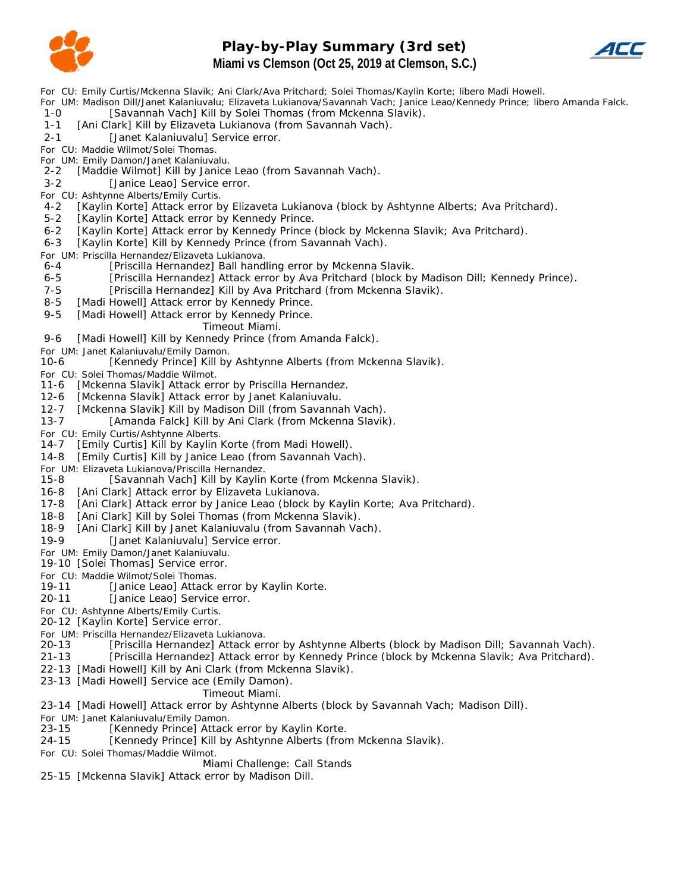

## **Play-by-Play Summary (3rd set) Miami vs Clemson (Oct 25, 2019 at Clemson, S.C.)**



*For CU: Emily Curtis/Mckenna Slavik; Ani Clark/Ava Pritchard; Solei Thomas/Kaylin Korte; libero Madi Howell.*

*For UM: Madison Dill/Janet Kalaniuvalu; Elizaveta Lukianova/Savannah Vach; Janice Leao/Kennedy Prince; libero Amanda Falck.* 1-0 [Savannah Vach] Kill by Solei Thomas (from Mckenna Slavik).

1-1 [Ani Clark] Kill by Elizaveta Lukianova (from Savannah Vach).

2-1 [Janet Kalaniuvalu] Service error.

*For CU: Maddie Wilmot/Solei Thomas.*

*For UM: Emily Damon/Janet Kalaniuvalu.*

2-2 [Maddie Wilmot] Kill by Janice Leao (from Savannah Vach).

3-2 [Janice Leao] Service error.

*For CU: Ashtynne Alberts/Emily Curtis.*

- 4-2 [Kaylin Korte] Attack error by Elizaveta Lukianova (block by Ashtynne Alberts; Ava Pritchard).
- 5-2 [Kaylin Korte] Attack error by Kennedy Prince.
- 6-2 [Kaylin Korte] Attack error by Kennedy Prince (block by Mckenna Slavik; Ava Pritchard).

6-3 [Kaylin Korte] Kill by Kennedy Prince (from Savannah Vach).

# *For UM: Priscilla Hernandez/Elizaveta Lukianova.*

- [Priscilla Hernandez] Ball handling error by Mckenna Slavik.
- 6-5 [Priscilla Hernandez] Attack error by Ava Pritchard (block by Madison Dill; Kennedy Prince).
- 7-5 [Priscilla Hernandez] Kill by Ava Pritchard (from Mckenna Slavik).
- 8-5 [Madi Howell] Attack error by Kennedy Prince.

9-5 [Madi Howell] Attack error by Kennedy Prince.

*Timeout Miami.*

9-6 [Madi Howell] Kill by Kennedy Prince (from Amanda Falck).

*For UM: Janet Kalaniuvalu/Emily Damon.*

10-6 [Kennedy Prince] Kill by Ashtynne Alberts (from Mckenna Slavik).

*For CU: Solei Thomas/Maddie Wilmot.*

11-6 [Mckenna Slavik] Attack error by Priscilla Hernandez.

- 12-6 [Mckenna Slavik] Attack error by Janet Kalaniuvalu.
- 12-7 [Mckenna Slavik] Kill by Madison Dill (from Savannah Vach).
- 13-7 [Amanda Falck] Kill by Ani Clark (from Mckenna Slavik).
- *For CU: Emily Curtis/Ashtynne Alberts.*

14-7 [Emily Curtis] Kill by Kaylin Korte (from Madi Howell).

14-8 [Emily Curtis] Kill by Janice Leao (from Savannah Vach).

*For UM: Elizaveta Lukianova/Priscilla Hernandez.*

- [Savannah Vach] Kill by Kaylin Korte (from Mckenna Slavik).
- 16-8 [Ani Clark] Attack error by Elizaveta Lukianova.
- 17-8 [Ani Clark] Attack error by Janice Leao (block by Kaylin Korte; Ava Pritchard).
- 18-8 [Ani Clark] Kill by Solei Thomas (from Mckenna Slavik).
- 18-9 [Ani Clark] Kill by Janet Kalaniuvalu (from Savannah Vach).

19-9 [Janet Kalaniuvalu] Service error.

*For UM: Emily Damon/Janet Kalaniuvalu.*

19-10 [Solei Thomas] Service error.

#### *For CU: Maddie Wilmot/Solei Thomas.*

19-11 [Janice Leao] Attack error by Kaylin Korte.

20-11 [Janice Leao] Service error.

*For CU: Ashtynne Alberts/Emily Curtis.*

20-12 [Kaylin Korte] Service error.

*For UM: Priscilla Hernandez/Elizaveta Lukianova.*

20-13 [Priscilla Hernandez] Attack error by Ashtynne Alberts (block by Madison Dill; Savannah Vach).

- 21-13 [Priscilla Hernandez] Attack error by Kennedy Prince (block by Mckenna Slavik; Ava Pritchard).
- 22-13 [Madi Howell] Kill by Ani Clark (from Mckenna Slavik).

23-13 [Madi Howell] Service ace (Emily Damon).

#### *Timeout Miami.*

23-14 [Madi Howell] Attack error by Ashtynne Alberts (block by Savannah Vach; Madison Dill).

*For UM: Janet Kalaniuvalu/Emily Damon.*

23-15 [Kennedy Prince] Attack error by Kaylin Korte.

24-15 [Kennedy Prince] Kill by Ashtynne Alberts (from Mckenna Slavik).

*For CU: Solei Thomas/Maddie Wilmot.*

*Miami Challenge: Call Stands*

25-15 [Mckenna Slavik] Attack error by Madison Dill.